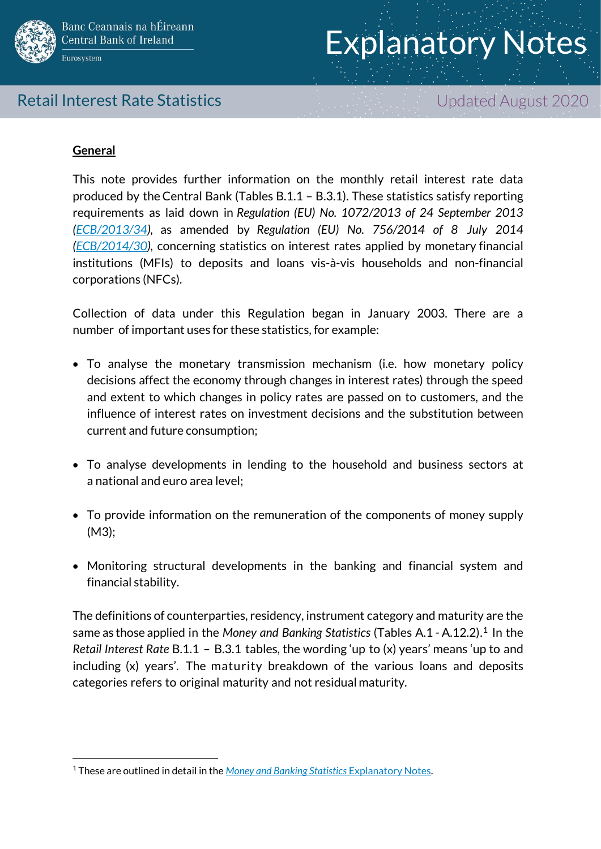

## Retail Interest Rate Statistics **Exercise 2020** Updated August 2020

## **General**

1

This note provides further information on the monthly retail interest rate data produced by the Central Bank (Tables B.1.1 – B.3.1). These statistics satisfy reporting requirements as laid down in *Regulation (EU) No. 1072/2013 of 24 September 2013 [\(ECB/2013/34\)](http://www.ecb.europa.eu/ecb/legal/pdf/en_l_29720131107en00510072.pdf),* as amended by *Regulation (EU) No. 756/2014 of 8 July 2014 [\(ECB/2014/30\)](https://www.ecb.europa.eu/ecb/legal/pdf/oj_jol_2014_205_r_0007_en_txt.pdf),* concerning statistics on interest rates applied by monetary financial institutions (MFIs) to deposits and loans vis-à-vis households and non-financial corporations (NFCs)*.*

Collection of data under this Regulation began in January 2003. There are a number of important uses for these statistics, for example:

- To analyse the monetary transmission mechanism (i.e. how monetary policy decisions affect the economy through changes in interest rates) through the speed and extent to which changes in policy rates are passed on to customers, and the influence of interest rates on investment decisions and the substitution between current and future consumption;
- To analyse developments in lending to the household and business sectors at a national and euro area level;
- To provide information on the remuneration of the components of money supply (M3);
- Monitoring structural developments in the banking and financial system and financial stability.

The definitions of counterparties, residency, instrument category and maturity are the same as those applied in the *Money and Banking Statistics* (Tables A.1 - A.12.2).<sup>1</sup> In the *Retail Interest Rate* B.1.1 – B.3.1 tables, the wording 'up to (x) years' means 'up to and including (x) years'. The maturity breakdown of the various loans and deposits categories refers to original maturity and not residual maturity.

<sup>1</sup> These are outlined in detail in the *[Money and Banking Statistics](https://www.centralbank.ie/docs/default-source/statistics/data-and-analysis/credit-and-banking-statistics/bank-balance-sheets/money-and-banking-statistics-explanatory-notes_january2016.pdf?sfvrsn=9)* Explanatory Notes.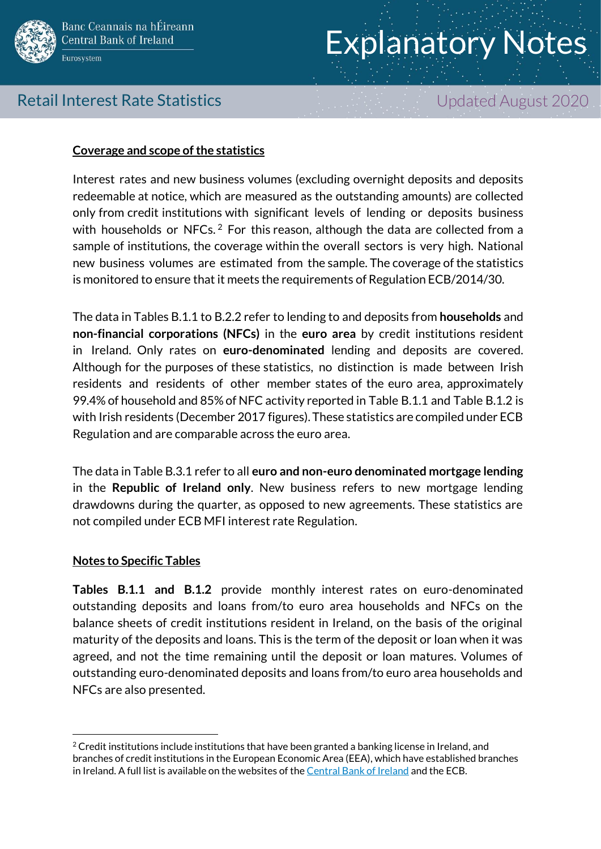

# Retail Interest Rate Statistics **Exercise 2020** Updated August 2020

## **Coverage and scope of the statistics**

Interest rates and new business volumes (excluding overnight deposits and deposits redeemable at notice, which are measured as the outstanding amounts) are collected only from credit institutions with significant levels of lending or deposits business with households or NFCs. $^2$  For this reason, although the data are collected from a sample of institutions, the coverage within the overall sectors is very high. National new business volumes are estimated from the sample. The coverage of the statistics is monitored to ensure that it meets the requirements of Regulation ECB/2014/30.

The data in Tables B.1.1 to B.2.2 refer to lending to and deposits from **households** and **non-financial corporations (NFCs)** in the **euro area** by credit institutions resident in Ireland. Only rates on **euro-denominated** lending and deposits are covered. Although for the purposes of these statistics, no distinction is made between Irish residents and residents of other member states of the euro area, approximately 99.4% of household and 85% of NFC activity reported in Table B.1.1 and Table B.1.2 is with Irish residents (December 2017 figures). These statistics are compiled under ECB Regulation and are comparable across the euro area.

The data in Table B.3.1 refer to all **euro and non-euro denominated mortgage lending** in the **Republic of Ireland only**. New business refers to new mortgage lending drawdowns during the quarter, as opposed to new agreements. These statistics are not compiled under ECB MFI interest rate Regulation.

### **Notes to Specific Tables**

1

**Tables B.1.1 and B.1.2** provide monthly interest rates on euro-denominated outstanding deposits and loans from/to euro area households and NFCs on the balance sheets of credit institutions resident in Ireland, on the basis of the original maturity of the deposits and loans. This is the term of the deposit or loan when it was agreed, and not the time remaining until the deposit or loan matures. Volumes of outstanding euro-denominated deposits and loans from/to euro area households and NFCs are also presented.

 $2$  Credit institutions include institutions that have been granted a banking license in Ireland, and branches of credit institutions in the European Economic Area (EEA), which have established branches in Ireland. A full list is available on the websites of th[e Central Bank of Ireland](https://www.centralbank.ie/statistics/data-and-analysis/credit-and-banking-statistics/bank-balance-sheets) and the ECB.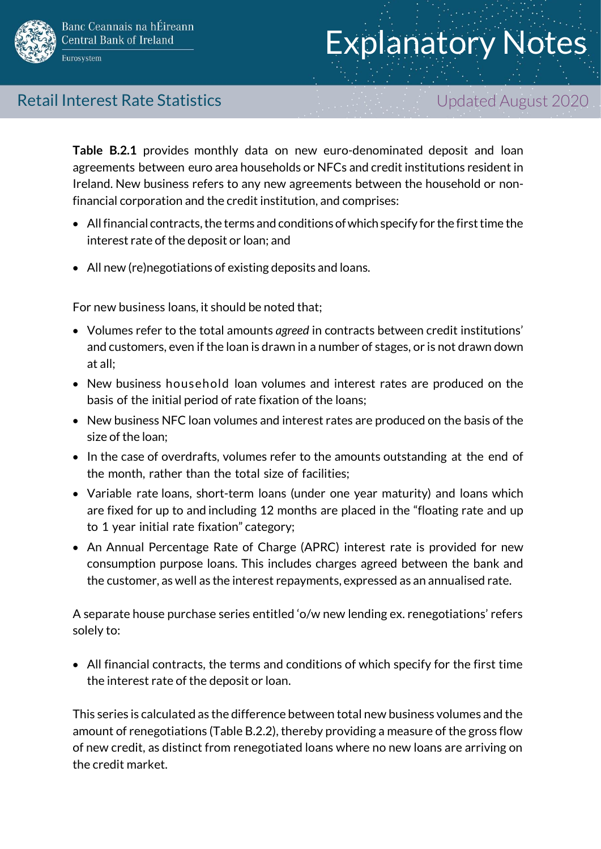

# Retail Interest Rate Statistics **Exercise 2020** Updated August 2020

**Table B.2.1** provides monthly data on new euro-denominated deposit and loan agreements between euro area households or NFCs and credit institutions resident in Ireland. New business refers to any new agreements between the household or nonfinancial corporation and the credit institution, and comprises:

- $\bullet$  All financial contracts, the terms and conditions of which specify for the first time the interest rate of the deposit or loan; and
- All new (re)negotiations of existing deposits and loans.

For new business loans, it should be noted that;

- Volumes refer to the total amounts *agreed* in contracts between credit institutions' and customers, even if the loan is drawn in a number of stages, or is not drawn down at all;
- New business household loan volumes and interest rates are produced on the basis of the initial period of rate fixation of the loans;
- New business NFC loan volumes and interest rates are produced on the basis of the size of the loan;
- In the case of overdrafts, volumes refer to the amounts outstanding at the end of the month, rather than the total size of facilities;
- Variable rate loans, short-term loans (under one year maturity) and loans which are fixed for up to and including 12 months are placed in the "floating rate and up to 1 year initial rate fixation" category;
- An Annual Percentage Rate of Charge (APRC) interest rate is provided for new consumption purpose loans. This includes charges agreed between the bank and the customer, as well as the interest repayments, expressed as an annualised rate.

A separate house purchase series entitled 'o/w new lending ex. renegotiations' refers solely to:

 All financial contracts, the terms and conditions of which specify for the first time the interest rate of the deposit or loan.

This series is calculated as the difference between total new business volumes and the amount of renegotiations (Table B.2.2), thereby providing a measure of the gross flow of new credit, as distinct from renegotiated loans where no new loans are arriving on the credit market.